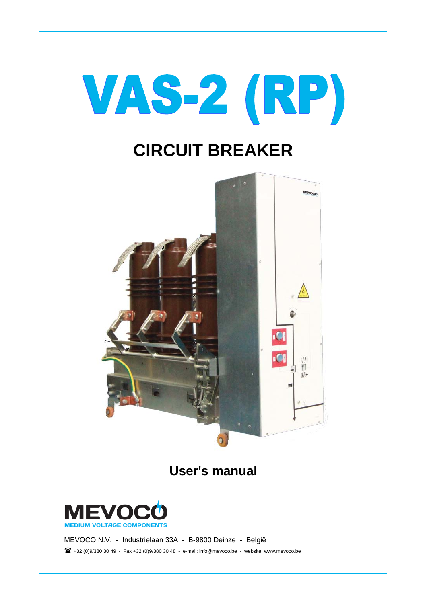

# **CIRCUIT BREAKER**



**User's manual**



MEVOCO N.V. - Industrielaan 33A - B-9800 Deinze - België +32 (0)9/380 30 49 - Fax +32 (0)9/380 30 48 - e-mail: info@mevoco.be - website: www.mevoco.be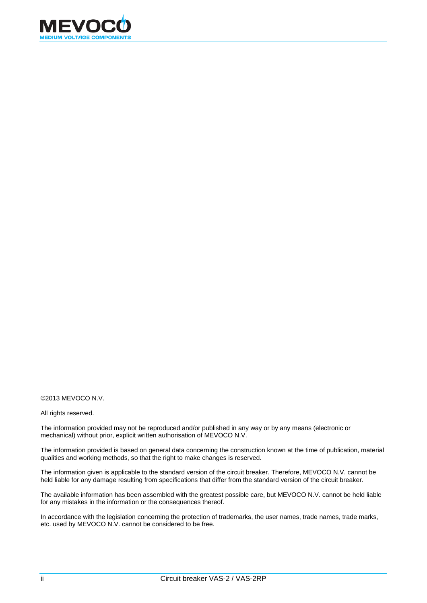

©2013 MEVOCO N.V.

All rights reserved.

The information provided may not be reproduced and/or published in any way or by any means (electronic or mechanical) without prior, explicit written authorisation of MEVOCO N.V.

The information provided is based on general data concerning the construction known at the time of publication, material qualities and working methods, so that the right to make changes is reserved.

The information given is applicable to the standard version of the circuit breaker. Therefore, MEVOCO N.V. cannot be held liable for any damage resulting from specifications that differ from the standard version of the circuit breaker.

The available information has been assembled with the greatest possible care, but MEVOCO N.V. cannot be held liable for any mistakes in the information or the consequences thereof.

In accordance with the legislation concerning the protection of trademarks, the user names, trade names, trade marks, etc. used by MEVOCO N.V. cannot be considered to be free.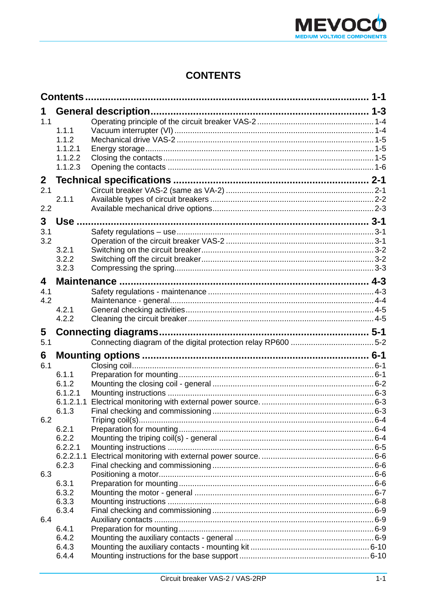

## **CONTENTS**

<span id="page-2-0"></span>

|              | Contents.        |                                   | $1 - 1$ |
|--------------|------------------|-----------------------------------|---------|
| 1            |                  | <b>General description.</b>       |         |
| 1.1          |                  |                                   |         |
|              | 1.1.1            |                                   |         |
|              | 1.1.2            |                                   |         |
|              | 1.1.2.1          |                                   |         |
|              | 1.1.2.2          |                                   |         |
|              | 1.1.2.3          |                                   |         |
| $\mathbf{2}$ |                  |                                   |         |
| 2.1          |                  |                                   |         |
|              | 2.1.1            |                                   |         |
| 2.2          |                  |                                   |         |
| 3            | Use              |                                   |         |
| 3.1          |                  |                                   |         |
| 3.2          |                  |                                   |         |
|              | 3.2.1            |                                   |         |
|              | 3.2.2            |                                   |         |
|              | 3.2.3            |                                   |         |
| 4            |                  |                                   |         |
| 4.1          |                  |                                   |         |
| 4.2          |                  |                                   |         |
|              | 4.2.1            |                                   |         |
|              | 4.2.2            |                                   |         |
| 5            |                  |                                   |         |
| 5.1          |                  |                                   |         |
|              |                  |                                   |         |
| 6            |                  |                                   |         |
| 6.1          |                  |                                   |         |
|              | 6.1.1            |                                   |         |
|              | 6.1.2            |                                   |         |
|              | 6.1.2.1          |                                   |         |
|              | 6.1.2.1.1        |                                   |         |
|              | 6.1.3            | Final checking and commissioning. |         |
| 6.2          |                  |                                   |         |
|              | 6.2.1            |                                   |         |
|              | 6.2.2<br>6.2.2.1 |                                   |         |
|              | 6.2.2.1.1        |                                   |         |
|              | 6.2.3            |                                   |         |
| 6.3          |                  |                                   |         |
|              | 6.3.1            |                                   |         |
|              | 6.3.2            |                                   |         |
|              | 6.3.3            |                                   |         |
|              | 6.3.4            |                                   |         |
| 6.4          |                  |                                   |         |
|              | 6.4.1            |                                   |         |
|              | 6.4.2<br>6.4.3   |                                   |         |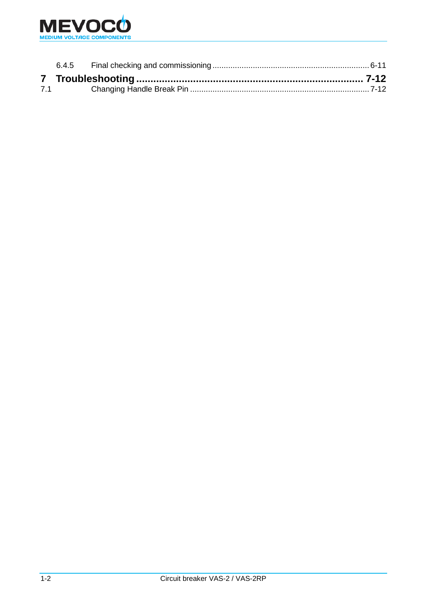

| 6.4.5 |  |
|-------|--|
|       |  |
| 7.1   |  |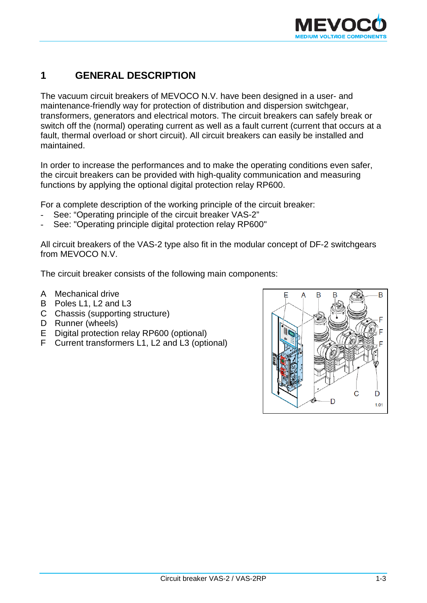

## <span id="page-4-0"></span>**1 GENERAL DESCRIPTION**

The vacuum circuit breakers of MEVOCO N.V. have been designed in a user- and maintenance-friendly way for protection of distribution and dispersion switchgear, transformers, generators and electrical motors. The circuit breakers can safely break or switch off the (normal) operating current as well as a fault current (current that occurs at a fault, thermal overload or short circuit). All circuit breakers can easily be installed and maintained.

In order to increase the performances and to make the operating conditions even safer, the circuit breakers can be provided with high-quality communication and measuring functions by applying the optional digital protection relay RP600.

For a complete description of the working principle of the circuit breaker:

- See: "Operating principle of the circuit breaker VAS-2"
- See: "Operating principle digital protection relay RP600"

All circuit breakers of the VAS-2 type also fit in the modular concept of DF-2 switchgears from MEVOCO N.V.

The circuit breaker consists of the following main components:

- A Mechanical drive
- B Poles L1, L2 and L3
- C Chassis (supporting structure)
- D Runner (wheels)
- E Digital protection relay RP600 (optional)
- F Current transformers L1, L2 and L3 (optional)

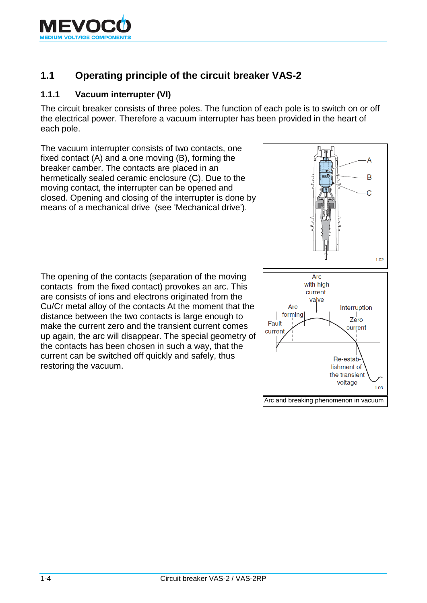

## <span id="page-5-0"></span>**1.1 Operating principle of the circuit breaker VAS-2**

### <span id="page-5-1"></span>**1.1.1 Vacuum interrupter (VI)**

The circuit breaker consists of three poles. The function of each pole is to switch on or off the electrical power. Therefore a vacuum interrupter has been provided in the heart of each pole.

The vacuum interrupter consists of two contacts, one fixed contact (A) and a one moving (B), forming the breaker camber. The contacts are placed in an hermetically sealed ceramic enclosure (C). Due to the moving contact, the interrupter can be opened and closed. Opening and closing of the interrupter is done by means of a mechanical drive (see 'Mechanical drive').



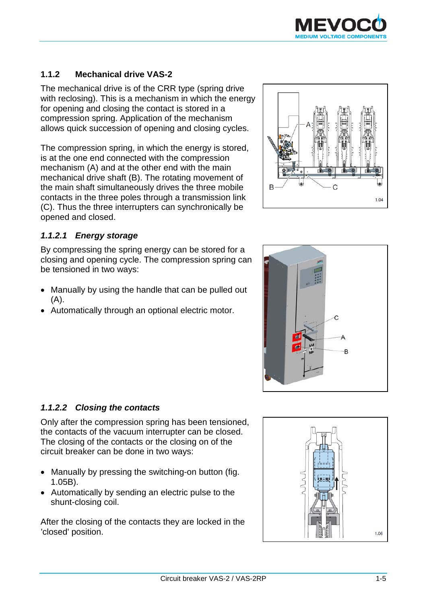## <span id="page-6-0"></span>**1.1.2 Mechanical drive VAS-2**

The mechanical drive is of the CRR type (spring drive with reclosing). This is a mechanism in which the energy for opening and closing the contact is stored in a compression spring. Application of the mechanism allows quick succession of opening and closing cycles.

The compression spring, in which the energy is stored, is at the one end connected with the compression mechanism (A) and at the other end with the main mechanical drive shaft (B). The rotating movement of the main shaft simultaneously drives the three mobile contacts in the three poles through a transmission link (C). Thus the three interrupters can synchronically be opened and closed.

#### <span id="page-6-1"></span>*1.1.2.1 Energy storage*

By compressing the spring energy can be stored for a closing and opening cycle. The compression spring can be tensioned in two ways:

- Manually by using the handle that can be pulled out (A).
- Automatically through an optional electric motor.

## <span id="page-6-2"></span>*1.1.2.2 Closing the contacts*

Only after the compression spring has been tensioned, the contacts of the vacuum interrupter can be closed. The closing of the contacts or the closing on of the circuit breaker can be done in two ways:

- Manually by pressing the switching-on button (fig. 1.05B).
- Automatically by sending an electric pulse to the shunt-closing coil.

After the closing of the contacts they are locked in the 'closed' position.







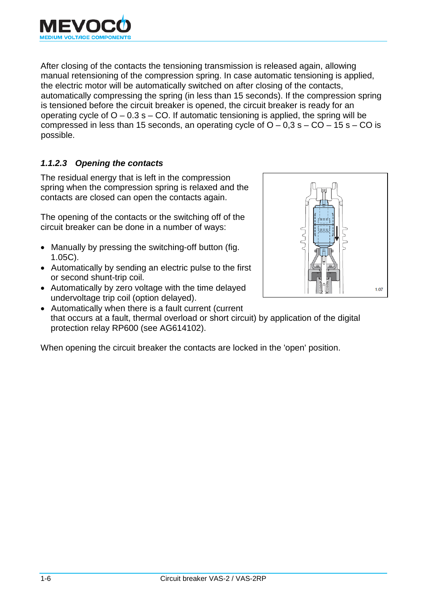



After closing of the contacts the tensioning transmission is released again, allowing manual retensioning of the compression spring. In case automatic tensioning is applied, the electric motor will be automatically switched on after closing of the contacts, automatically compressing the spring (in less than 15 seconds). If the compression spring is tensioned before the circuit breaker is opened, the circuit breaker is ready for an operating cycle of  $O - 0.3$  s – CO. If automatic tensioning is applied, the spring will be compressed in less than 15 seconds, an operating cycle of  $O - 0.3$  s – CO – 15 s – CO is possible.

## <span id="page-7-0"></span>*1.1.2.3 Opening the contacts*

**MEDIUM VOLTAGE COMPONENTS** 

The residual energy that is left in the compression spring when the compression spring is relaxed and the contacts are closed can open the contacts again.

The opening of the contacts or the switching off of the circuit breaker can be done in a number of ways:

- Manually by pressing the switching-off button (fig. 1.05C).
- Automatically by sending an electric pulse to the first or second shunt-trip coil.
- Automatically by zero voltage with the time delayed undervoltage trip coil (option delayed).
- Automatically when there is a fault current (current that occurs at a fault, thermal overload or short circuit) by application of the digital protection relay RP600 (see AG614102).

When opening the circuit breaker the contacts are locked in the 'open' position.

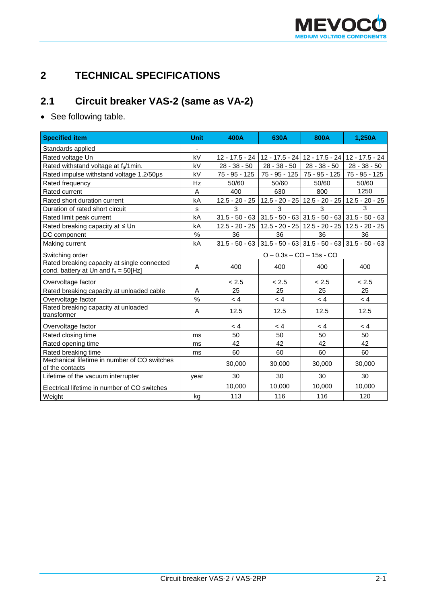

## <span id="page-8-0"></span>**2 TECHNICAL SPECIFICATIONS**

## <span id="page-8-1"></span>**2.1 Circuit breaker VAS-2 (same as VA-2)**

• See following table.

| <b>Specified item</b>                                                                 | <b>Unit</b> | 400A           | 630A                       | 800A                                                              | 1.250A                                                        |
|---------------------------------------------------------------------------------------|-------------|----------------|----------------------------|-------------------------------------------------------------------|---------------------------------------------------------------|
| Standards applied                                                                     |             |                |                            |                                                                   |                                                               |
| Rated voltage Un                                                                      | kV          |                |                            | 12 - 17.5 - 24   12 - 17.5 - 24   12 - 17.5 - 24   12 - 17.5 - 24 |                                                               |
| Rated withstand voltage at f <sub>n</sub> /1min.                                      | kV          | $28 - 38 - 50$ | $28 - 38 - 50$             | $28 - 38 - 50$                                                    | $28 - 38 - 50$                                                |
| Rated impulse withstand voltage 1.2/50µs                                              | kV          | 75 - 95 - 125  |                            | 75 - 95 - 125   75 - 95 - 125                                     | $75 - 95 - 125$                                               |
| Rated frequency                                                                       | Hz          | 50/60          | 50/60                      | 50/60                                                             | 50/60                                                         |
| Rated current                                                                         | A           | 400            | 630                        | 800                                                               | 1250                                                          |
| Rated short duration current                                                          | kA          |                |                            | 12.5 - 20 - 25   12.5 - 20 - 25   12.5 - 20 - 25   12.5 - 20 - 25 |                                                               |
| Duration of rated short circuit                                                       | s           | 3              | 3                          | 3                                                                 | 3                                                             |
| Rated limit peak current                                                              | kA          |                |                            | $31.5 - 50 - 63$ 31.5 - 50 - 63 31.5 - 50 - 63 31.5 - 50 - 63     |                                                               |
| Rated breaking capacity at $\leq$ Un                                                  | kA          |                |                            | 12.5 - 20 - 25   12.5 - 20 - 25   12.5 - 20 - 25   12.5 - 20 - 25 |                                                               |
| DC component                                                                          | %           | 36             | 36                         | 36                                                                | 36                                                            |
| Making current                                                                        | kA          |                |                            |                                                                   | $31.5 - 50 - 63$ 31.5 - 50 - 63 31.5 - 50 - 63 31.5 - 50 - 63 |
| Switching order                                                                       |             |                | $O - 0.3s - CO - 15s - CO$ |                                                                   |                                                               |
| Rated breaking capacity at single connected<br>cond. battery at Un and $f_n = 50[Hz]$ | A           | 400            | 400                        | 400                                                               | 400                                                           |
| Overvoltage factor                                                                    |             | < 2.5          | < 2.5                      | < 2.5                                                             | < 2.5                                                         |
| Rated breaking capacity at unloaded cable                                             | A           | 25             | 25                         | 25                                                                | 25                                                            |
| Overvoltage factor                                                                    | %           | < 4            | < 4                        | < 4                                                               | < 4                                                           |
| Rated breaking capacity at unloaded<br>transformer                                    | A           | 12.5           | 12.5                       | 12.5                                                              | 12.5                                                          |
| Overvoltage factor                                                                    |             | < 4            | < 4                        | < 4                                                               | < 4                                                           |
| Rated closing time                                                                    | ms          | 50             | 50                         | 50                                                                | 50                                                            |
| Rated opening time                                                                    | ms          | 42             | 42                         | 42                                                                | 42                                                            |
| Rated breaking time                                                                   | ms          | 60             | 60                         | 60                                                                | 60                                                            |
| Mechanical lifetime in number of CO switches<br>of the contacts                       |             | 30,000         | 30,000                     | 30,000                                                            | 30,000                                                        |
| Lifetime of the vacuum interrupter                                                    | vear        | 30             | 30                         | 30                                                                | 30                                                            |
| Electrical lifetime in number of CO switches                                          |             | 10,000         | 10,000                     | 10,000                                                            | 10,000                                                        |
| Weight                                                                                | kg          | 113            | 116                        | 116                                                               | 120                                                           |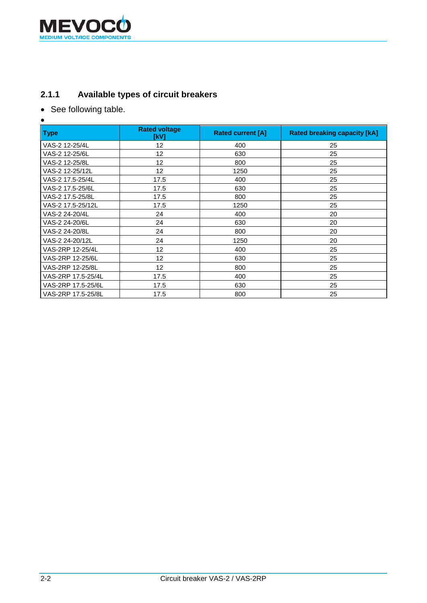

## <span id="page-9-0"></span>**2.1.1 Available types of circuit breakers**

• See following table.

•

| <b>Type</b>        | <b>Rated voltage</b><br>[kV] | <b>Rated current [A]</b> | <b>Rated breaking capacity [kA]</b> |
|--------------------|------------------------------|--------------------------|-------------------------------------|
| VAS-2 12-25/4L     | 12                           | 400                      | 25                                  |
| VAS-2 12-25/6L     | $12 \overline{ }$            | 630                      | 25                                  |
| VAS-2 12-25/8L     | 12                           | 800                      | 25                                  |
| VAS-2 12-25/12L    | 12 <sup>2</sup>              | 1250                     | 25                                  |
| VAS-2 17.5-25/4L   | 17.5                         | 400                      | 25                                  |
| VAS-2 17.5-25/6L   | 17.5                         | 630                      | 25                                  |
| VAS-2 17.5-25/8L   | 17.5                         | 800                      | 25                                  |
| VAS-2 17.5-25/12L  | 17.5                         | 1250                     | 25                                  |
| VAS-2 24-20/4L     | 24                           | 400                      | 20                                  |
| VAS-2 24-20/6L     | 24                           | 630                      | 20                                  |
| VAS-2 24-20/8L     | 24                           | 800                      | 20                                  |
| VAS-2 24-20/12L    | 24                           | 1250                     | 20                                  |
| VAS-2RP 12-25/4L   | 12                           | 400                      | 25                                  |
| VAS-2RP 12-25/6L   | 12                           | 630                      | 25                                  |
| VAS-2RP 12-25/8L   | 12                           | 800                      | 25                                  |
| VAS-2RP 17.5-25/4L | 17.5                         | 400                      | 25                                  |
| VAS-2RP 17.5-25/6L | 17.5                         | 630                      | 25                                  |
| VAS-2RP 17.5-25/8L | 17.5                         | 800                      | 25                                  |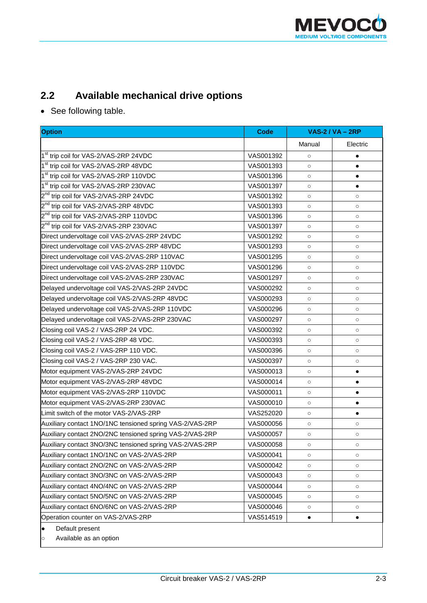

## <span id="page-10-0"></span>**2.2 Available mechanical drive options**

• See following table.

| <b>Option</b>                                                 | Code                 |           | $VAS-2/VA - 2RP$ |
|---------------------------------------------------------------|----------------------|-----------|------------------|
|                                                               |                      | Manual    | Electric         |
| 1 <sup>st</sup> trip coil for VAS-2/VAS-2RP 24VDC             | VAS001392            | $\circ$   |                  |
| 1 <sup>st</sup> trip coil for VAS-2/VAS-2RP 48VDC             | VAS001393            | $\circ$   | $\bullet$        |
| 1 <sup>st</sup> trip coil for VAS-2/VAS-2RP 110VDC            | VAS001396            | $\circ$   | $\bullet$        |
| 1 <sup>st</sup> trip coil for VAS-2/VAS-2RP 230VAC            | VAS001397            | $\circ$   | $\bullet$        |
| 2 <sup>nd</sup> trip coil for VAS-2/VAS-2RP 24VDC             | VAS001392            | $\circ$   | $\circ$          |
| trip coil for VAS-2/VAS-2RP 48VDC                             | VAS001393            | $\circ$   | $\circ$          |
| 2 <sup>nd</sup> trip coil for VAS-2/VAS-2RP 110VDC            | VAS001396            | $\circ$   | $\circ$          |
| 2 <sup>nd</sup> trip coil for VAS-2/VAS-2RP 230VAC            | VAS001397            | $\circ$   | $\circ$          |
| Direct undervoltage coil VAS-2/VAS-2RP 24VDC                  | VAS001292            | $\circ$   | $\circ$          |
| Direct undervoltage coil VAS-2/VAS-2RP 48VDC                  | VAS001293            | $\circ$   | $\circ$          |
| Direct undervoltage coil VAS-2/VAS-2RP 110VAC                 | VAS001295            | $\circ$   | $\circ$          |
| Direct undervoltage coil VAS-2/VAS-2RP 110VDC                 | VAS001296            | $\circ$   | $\circ$          |
| Direct undervoltage coil VAS-2/VAS-2RP 230VAC                 | VAS001297            | $\circ$   | $\circ$          |
| Delayed undervoltage coil VAS-2/VAS-2RP 24VDC                 | VAS000292            | $\circ$   | $\circ$          |
| Delayed undervoltage coil VAS-2/VAS-2RP 48VDC                 | VAS000293            | $\circ$   | $\circ$          |
| Delayed undervoltage coil VAS-2/VAS-2RP 110VDC                | VAS000296            | $\circ$   | $\circ$          |
| Delayed undervoltage coil VAS-2/VAS-2RP 230VAC                | VAS000297            | $\circ$   | $\circ$          |
| Closing coil VAS-2 / VAS-2RP 24 VDC.                          | VAS000392            | $\circ$   | $\circ$          |
| Closing coil VAS-2 / VAS-2RP 48 VDC.                          | VAS000393            | $\circ$   | $\circ$          |
| VAS000396<br>Closing coil VAS-2 / VAS-2RP 110 VDC.<br>$\circ$ |                      | $\circ$   |                  |
| Closing coil VAS-2 / VAS-2RP 230 VAC.<br>VAS000397<br>$\circ$ |                      | $\circ$   |                  |
| Motor equipment VAS-2/VAS-2RP 24VDC                           | VAS000013<br>$\circ$ |           | $\bullet$        |
| VAS000014<br>Motor equipment VAS-2/VAS-2RP 48VDC              |                      | $\circ$   | ٠                |
| VAS000011<br>Motor equipment VAS-2/VAS-2RP 110VDC<br>$\circ$  |                      | $\bullet$ |                  |
| Motor equipment VAS-2/VAS-2RP 230VAC                          | VAS000010            | $\circ$   | ٠                |
| Limit switch of the motor VAS-2/VAS-2RP                       | VAS252020            | $\circ$   | $\bullet$        |
| Auxiliary contact 1NO/1NC tensioned spring VAS-2/VAS-2RP      | VAS000056            | $\circ$   | $\circ$          |
| Auxiliary contact 2NO/2NC tensioned spring VAS-2/VAS-2RP      | VAS000057            | $\circ$   | $\circ$          |
| Auxiliary contact 3NO/3NC tensioned spring VAS-2/VAS-2RP      | VAS000058            |           |                  |
| Auxiliary contact 1NO/1NC on VAS-2/VAS-2RP                    | VAS000041            | $\circ$   | $\circ$          |
| Auxiliary contact 2NO/2NC on VAS-2/VAS-2RP                    | VAS000042            | $\circ$   | $\circ$          |
| Auxiliary contact 3NO/3NC on VAS-2/VAS-2RP                    | VAS000043            | $\circ$   | $\circ$          |
| Auxiliary contact 4NO/4NC on VAS-2/VAS-2RP                    | VAS000044            | $\circ$   | $\circ$          |
| Auxiliary contact 5NO/5NC on VAS-2/VAS-2RP                    | VAS000045            | $\circ$   | $\circ$          |
| Auxiliary contact 6NO/6NC on VAS-2/VAS-2RP                    | VAS000046            | $\circ$   | $\circ$          |
| Operation counter on VAS-2/VAS-2RP                            | VAS514519            | $\bullet$ | $\bullet$        |
| Default present<br>lo<br>Available as an option<br>$\circ$    |                      |           |                  |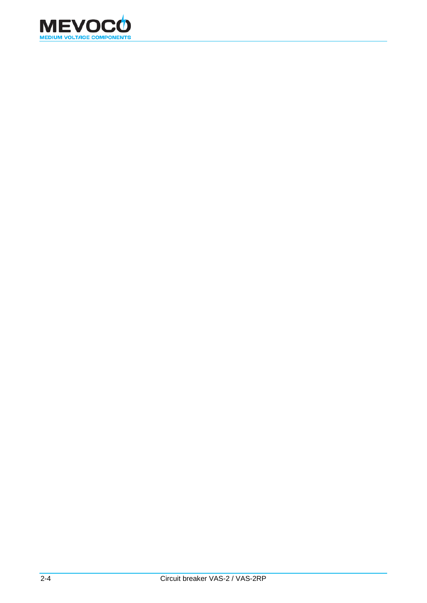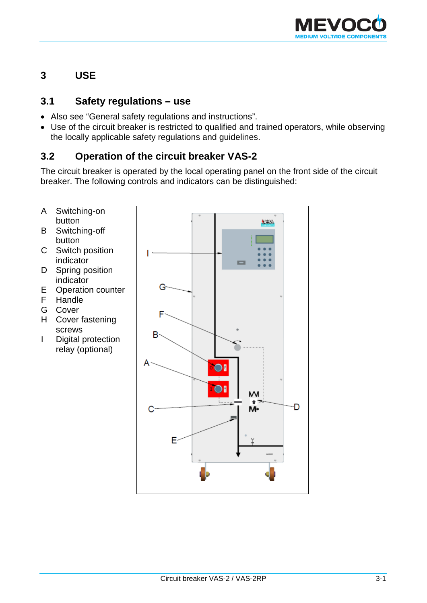

## <span id="page-12-0"></span>**3 USE**

## <span id="page-12-1"></span>**3.1 Safety regulations – use**

- Also see "General safety regulations and instructions".
- Use of the circuit breaker is restricted to qualified and trained operators, while observing the locally applicable safety regulations and guidelines.

## <span id="page-12-2"></span>**3.2 Operation of the circuit breaker VAS-2**

The circuit breaker is operated by the local operating panel on the front side of the circuit breaker. The following controls and indicators can be distinguished:

- A Switching-on button
- B Switching-off button
- C Switch position indicator
- D Spring position indicator
- E Operation counter
- F Handle
- G Cover
- H Cover fastening screws
- I Digital protection relay (optional)

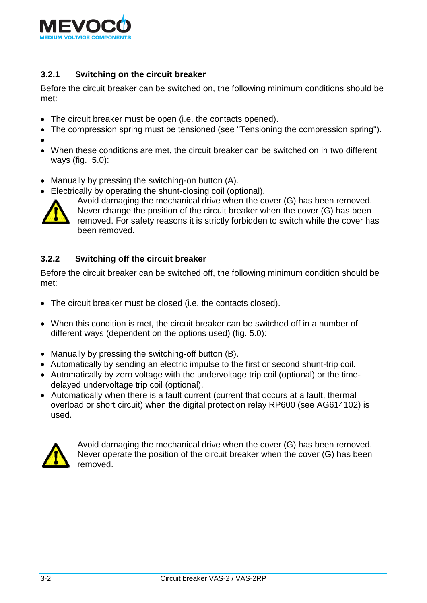

#### <span id="page-13-0"></span>**3.2.1 Switching on the circuit breaker**

Before the circuit breaker can be switched on, the following minimum conditions should be met:

- The circuit breaker must be open (i.e. the contacts opened).
- The compression spring must be tensioned (see "Tensioning the compression spring").
- •
- When these conditions are met, the circuit breaker can be switched on in two different ways (fig. 5.0):
- Manually by pressing the switching-on button (A).
- Electrically by operating the shunt-closing coil (optional).



Avoid damaging the mechanical drive when the cover (G) has been removed. Never change the position of the circuit breaker when the cover (G) has been removed. For safety reasons it is strictly forbidden to switch while the cover has been removed.

### <span id="page-13-1"></span>**3.2.2 Switching off the circuit breaker**

Before the circuit breaker can be switched off, the following minimum condition should be met:

- The circuit breaker must be closed (i.e. the contacts closed).
- When this condition is met, the circuit breaker can be switched off in a number of different ways (dependent on the options used) (fig. 5.0):
- Manually by pressing the switching-off button (B).
- Automatically by sending an electric impulse to the first or second shunt-trip coil.
- Automatically by zero voltage with the undervoltage trip coil (optional) or the timedelayed undervoltage trip coil (optional).
- Automatically when there is a fault current (current that occurs at a fault, thermal overload or short circuit) when the digital protection relay RP600 (see AG614102) is used.



Avoid damaging the mechanical drive when the cover (G) has been removed. Never operate the position of the circuit breaker when the cover (G) has been removed.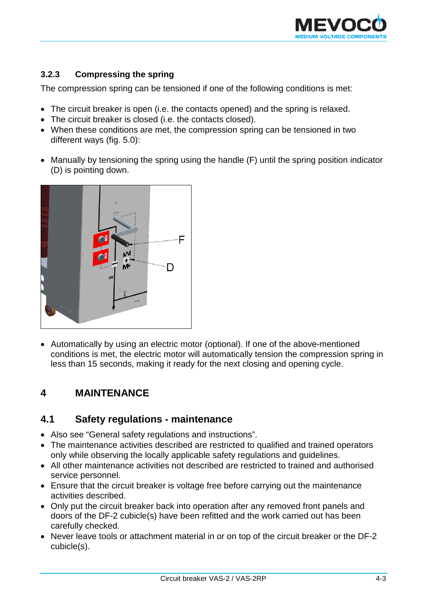

## <span id="page-14-0"></span>**3.2.3 Compressing the spring**

The compression spring can be tensioned if one of the following conditions is met:

- The circuit breaker is open (i.e. the contacts opened) and the spring is relaxed.
- The circuit breaker is closed (i.e. the contacts closed).
- When these conditions are met, the compression spring can be tensioned in two different ways (fig. 5.0):
- Manually by tensioning the spring using the handle (F) until the spring position indicator (D) is pointing down.



• Automatically by using an electric motor (optional). If one of the above-mentioned conditions is met, the electric motor will automatically tension the compression spring in less than 15 seconds, making it ready for the next closing and opening cycle.

## <span id="page-14-1"></span>**4 MAINTENANCE**

## <span id="page-14-2"></span>**4.1 Safety regulations - maintenance**

- Also see "General safety regulations and instructions".
- The maintenance activities described are restricted to qualified and trained operators only while observing the locally applicable safety regulations and guidelines.
- All other maintenance activities not described are restricted to trained and authorised service personnel.
- Ensure that the circuit breaker is voltage free before carrying out the maintenance activities described.
- Only put the circuit breaker back into operation after any removed front panels and doors of the DF-2 cubicle(s) have been refitted and the work carried out has been carefully checked.
- Never leave tools or attachment material in or on top of the circuit breaker or the DF-2 cubicle(s).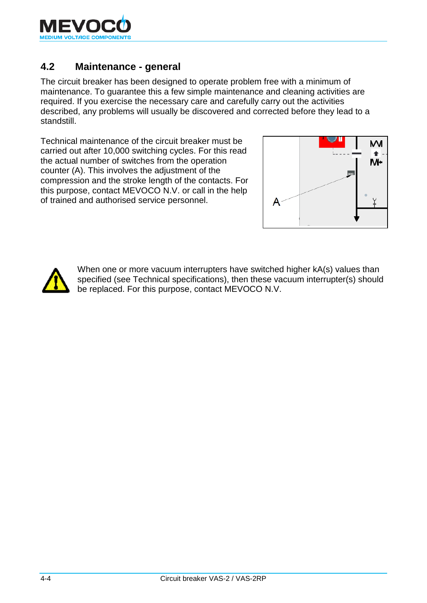

## <span id="page-15-0"></span>**4.2 Maintenance - general**

The circuit breaker has been designed to operate problem free with a minimum of maintenance. To guarantee this a few simple maintenance and cleaning activities are required. If you exercise the necessary care and carefully carry out the activities described, any problems will usually be discovered and corrected before they lead to a standstill.

Technical maintenance of the circuit breaker must be carried out after 10,000 switching cycles. For this read the actual number of switches from the operation counter (A). This involves the adjustment of the compression and the stroke length of the contacts. For this purpose, contact MEVOCO N.V. or call in the help of trained and authorised service personnel.





When one or more vacuum interrupters have switched higher  $kA(s)$  values than specified (see Technical specifications), then these vacuum interrupter(s) should be replaced. For this purpose, contact MEVOCO N.V.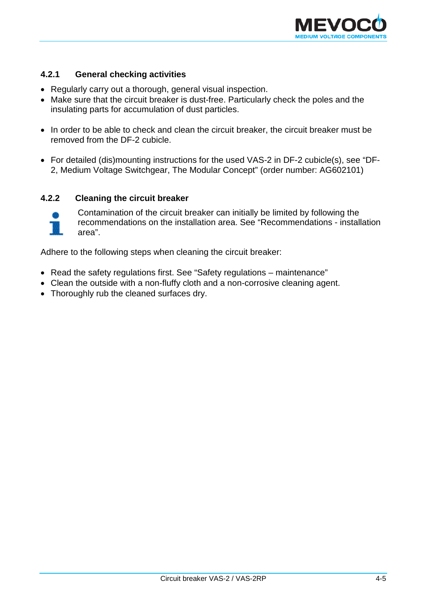

#### <span id="page-16-0"></span>**4.2.1 General checking activities**

- Regularly carry out a thorough, general visual inspection.
- Make sure that the circuit breaker is dust-free. Particularly check the poles and the insulating parts for accumulation of dust particles.
- In order to be able to check and clean the circuit breaker, the circuit breaker must be removed from the DF-2 cubicle.
- For detailed (dis)mounting instructions for the used VAS-2 in DF-2 cubicle(s), see "DF-2, Medium Voltage Switchgear, The Modular Concept" (order number: AG602101)

#### <span id="page-16-1"></span>**4.2.2 Cleaning the circuit breaker**

Contamination of the circuit breaker can initially be limited by following the recommendations on the installation area. See "Recommendations - installation area".

Adhere to the following steps when cleaning the circuit breaker:

- Read the safety regulations first. See "Safety regulations maintenance"
- Clean the outside with a non-fluffy cloth and a non-corrosive cleaning agent.
- Thoroughly rub the cleaned surfaces dry.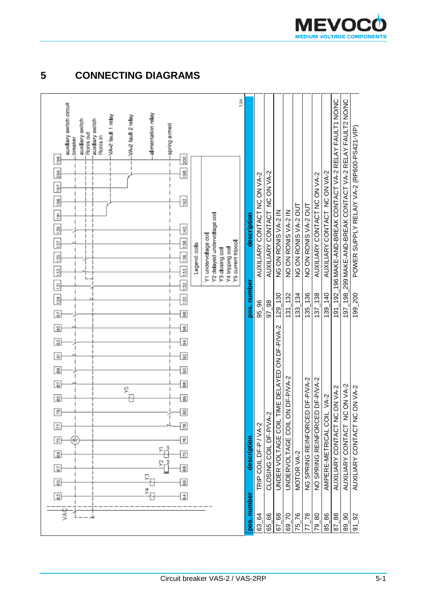

## <span id="page-18-0"></span>**5 CONNECTING DIAGRAMS**

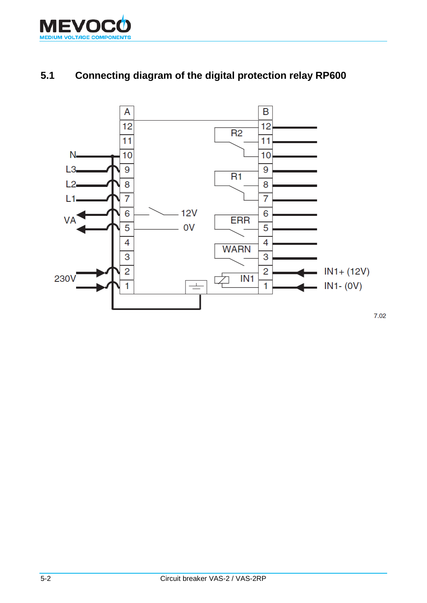

## <span id="page-19-0"></span>**5.1 Connecting diagram of the digital protection relay RP600**

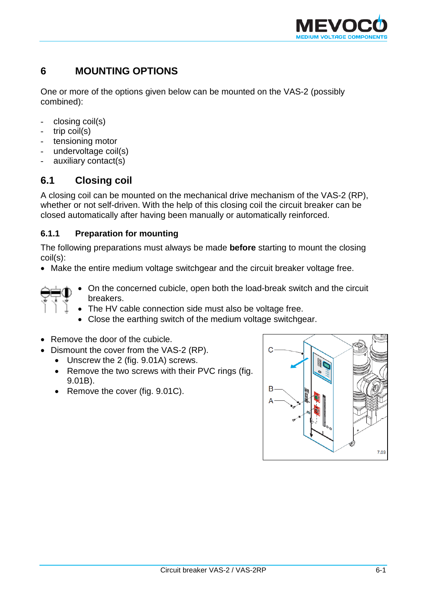

## <span id="page-20-0"></span>**6 MOUNTING OPTIONS**

One or more of the options given below can be mounted on the VAS-2 (possibly combined):

- closing coil(s)
- trip coil(s)
- tensioning motor
- undervoltage coil(s)
- auxiliary contact(s)

## <span id="page-20-1"></span>**6.1 Closing coil**

A closing coil can be mounted on the mechanical drive mechanism of the VAS-2 (RP), whether or not self-driven. With the help of this closing coil the circuit breaker can be closed automatically after having been manually or automatically reinforced.

#### <span id="page-20-2"></span>**6.1.1 Preparation for mounting**

The following preparations must always be made **before** starting to mount the closing coil(s):

• Make the entire medium voltage switchgear and the circuit breaker voltage free.

- On the concerned cubicle, open both the load-break switch and the circuit breakers.
- The HV cable connection side must also be voltage free.
- Close the earthing switch of the medium voltage switchgear.
- Remove the door of the cubicle.
- Dismount the cover from the VAS-2 (RP).
	- Unscrew the 2 (fig. 9.01A) screws.
	- Remove the two screws with their PVC rings (fig. 9.01B).
	- Remove the cover (fig. 9.01C).

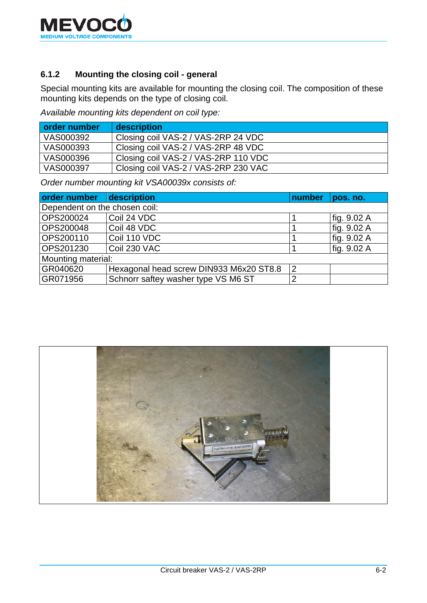

#### <span id="page-21-0"></span>**6.1.2 Mounting the closing coil - general**

Special mounting kits are available for mounting the closing coil. The composition of these mounting kits depends on the type of closing coil.

*Available mounting kits dependent on coil type:*

| order number | description                          |
|--------------|--------------------------------------|
| VAS000392    | Closing coil VAS-2 / VAS-2RP 24 VDC  |
| VAS000393    | Closing coil VAS-2 / VAS-2RP 48 VDC  |
| VAS000396    | Closing coil VAS-2 / VAS-2RP 110 VDC |
| VAS000397    | Closing coil VAS-2 / VAS-2RP 230 VAC |

*Order number mounting kit VSA00039x consists of:*

| order number                  | description                             | number         | pos. no.    |  |
|-------------------------------|-----------------------------------------|----------------|-------------|--|
| Dependent on the chosen coil: |                                         |                |             |  |
| OPS200024                     | Coil 24 VDC                             |                | fig. 9.02 A |  |
| OPS200048                     | Coil 48 VDC                             |                | fig. 9.02 A |  |
| OPS200110                     | Coil 110 VDC                            |                | fig. 9.02 A |  |
| OPS201230                     | Coil 230 VAC                            |                | fig. 9.02 A |  |
| Mounting material:            |                                         |                |             |  |
| GR040620                      | Hexagonal head screw DIN933 M6x20 ST8.8 | $\overline{2}$ |             |  |
| GR071956                      | Schnorr saftey washer type VS M6 ST     | $\overline{2}$ |             |  |

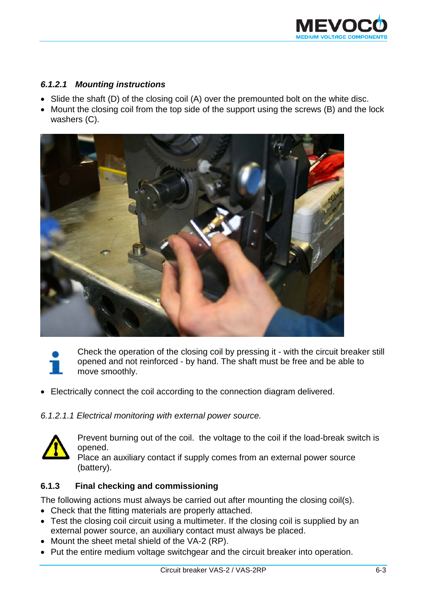

#### <span id="page-22-0"></span>*6.1.2.1 Mounting instructions*

- Slide the shaft (D) of the closing coil (A) over the premounted bolt on the white disc.
- Mount the closing coil from the top side of the support using the screws (B) and the lock washers (C).



Check the operation of the closing coil by pressing it - with the circuit breaker still opened and not reinforced - by hand. The shaft must be free and be able to move smoothly.

• Electrically connect the coil according to the connection diagram delivered.

<span id="page-22-1"></span>*6.1.2.1.1 Electrical monitoring with external power source.*



Prevent burning out of the coil. the voltage to the coil if the load-break switch is opened.

Place an auxiliary contact if supply comes from an external power source (battery).

#### <span id="page-22-2"></span>**6.1.3 Final checking and commissioning**

The following actions must always be carried out after mounting the closing coil(s).

- Check that the fitting materials are properly attached.
- Test the closing coil circuit using a multimeter. If the closing coil is supplied by an external power source, an auxiliary contact must always be placed.
- Mount the sheet metal shield of the VA-2 (RP).
- Put the entire medium voltage switchgear and the circuit breaker into operation.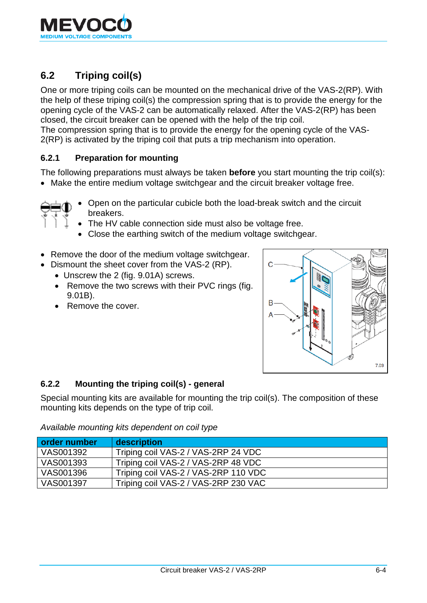

## <span id="page-23-0"></span>**6.2 Triping coil(s)**

One or more triping coils can be mounted on the mechanical drive of the VAS-2(RP). With the help of these triping coil(s) the compression spring that is to provide the energy for the opening cycle of the VAS-2 can be automatically relaxed. After the VAS-2(RP) has been closed, the circuit breaker can be opened with the help of the trip coil.

The compression spring that is to provide the energy for the opening cycle of the VAS-2(RP) is activated by the triping coil that puts a trip mechanism into operation.

### <span id="page-23-1"></span>**6.2.1 Preparation for mounting**

The following preparations must always be taken **before** you start mounting the trip coil(s): • Make the entire medium voltage switchgear and the circuit breaker voltage free.

- Open on the particular cubicle both the load-break switch and the circuit breakers.
- The HV cable connection side must also be voltage free.
- Close the earthing switch of the medium voltage switchgear.
- Remove the door of the medium voltage switchgear.
- Dismount the sheet cover from the VAS-2 (RP).
	- Unscrew the 2 (fig. 9.01A) screws.
	- Remove the two screws with their PVC rings (fig. 9.01B).
	- Remove the cover.



#### <span id="page-23-2"></span>**6.2.2 Mounting the triping coil(s) - general**

Special mounting kits are available for mounting the trip coil(s). The composition of these mounting kits depends on the type of trip coil.

*Available mounting kits dependent on coil type*

| order number     | description                          |
|------------------|--------------------------------------|
| VAS001392        | Triping coil VAS-2 / VAS-2RP 24 VDC  |
| <b>VAS001393</b> | Triping coil VAS-2 / VAS-2RP 48 VDC  |
| VAS001396        | Triping coil VAS-2 / VAS-2RP 110 VDC |
| VAS001397        | Triping coil VAS-2 / VAS-2RP 230 VAC |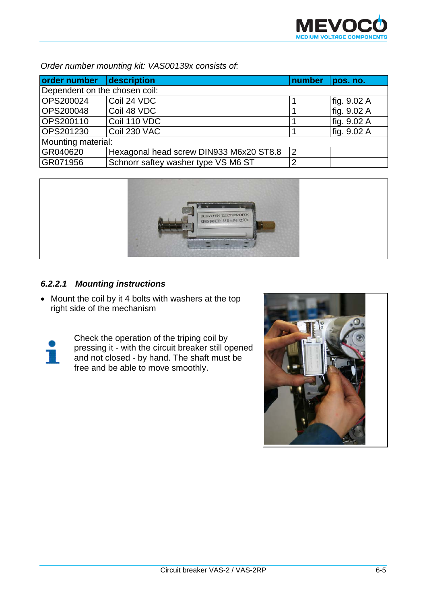

*Order number mounting kit: VAS00139x consists of:*

| order number                  | description                             | number         | pos. no.    |  |
|-------------------------------|-----------------------------------------|----------------|-------------|--|
| Dependent on the chosen coil: |                                         |                |             |  |
| OPS200024                     | Coil 24 VDC                             |                | fig. 9.02 A |  |
| OPS200048                     | Coil 48 VDC                             |                | fig. 9.02 A |  |
| OPS200110                     | Coil 110 VDC                            |                | fig. 9.02 A |  |
| OPS201230                     | Coil 230 VAC                            |                | fig. 9.02 A |  |
| Mounting material:            |                                         |                |             |  |
| GR040620                      | Hexagonal head screw DIN933 M6x20 ST8.8 | $\overline{2}$ |             |  |
| GR071956                      | Schnorr saftey washer type VS M6 ST     | 2              |             |  |



#### <span id="page-24-0"></span>*6.2.2.1 Mounting instructions*

• Mount the coil by it 4 bolts with washers at the top right side of the mechanism



Check the operation of the triping coil by pressing it - with the circuit breaker still opened and not closed - by hand. The shaft must be free and be able to move smoothly.

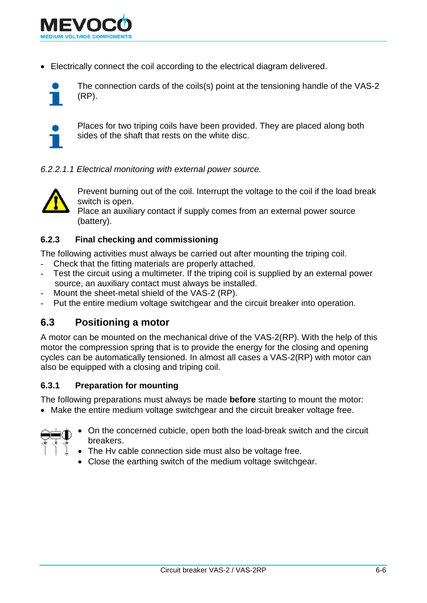

• Electrically connect the coil according to the electrical diagram delivered.



The connection cards of the coils(s) point at the tensioning handle of the VAS-2 (RP).



Places for two triping coils have been provided. They are placed along both sides of the shaft that rests on the white disc.

<span id="page-25-0"></span>*6.2.2.1.1 Electrical monitoring with external power source.*



Prevent burning out of the coil. Interrupt the voltage to the coil if the load break switch is open.

Place an auxiliary contact if supply comes from an external power source (battery).

#### <span id="page-25-1"></span>**6.2.3 Final checking and commissioning**

The following activities must always be carried out after mounting the triping coil.

- Check that the fitting materials are properly attached.
- Test the circuit using a multimeter. If the triping coil is supplied by an external power source, an auxiliary contact must always be installed.
- Mount the sheet-metal shield of the VAS-2 (RP).
- <span id="page-25-2"></span>Put the entire medium voltage switchgear and the circuit breaker into operation.

## **6.3 Positioning a motor**

A motor can be mounted on the mechanical drive of the VAS-2(RP). With the help of this motor the compression spring that is to provide the energy for the closing and opening cycles can be automatically tensioned. In almost all cases a VAS-2(RP) with motor can also be equipped with a closing and triping coil.

#### <span id="page-25-3"></span>**6.3.1 Preparation for mounting**

The following preparations must always be made **before** starting to mount the motor: • Make the entire medium voltage switchgear and the circuit breaker voltage free.



• On the concerned cubicle, open both the load-break switch and the circuit breakers.

- The Hv cable connection side must also be voltage free.
- Close the earthing switch of the medium voltage switchgear.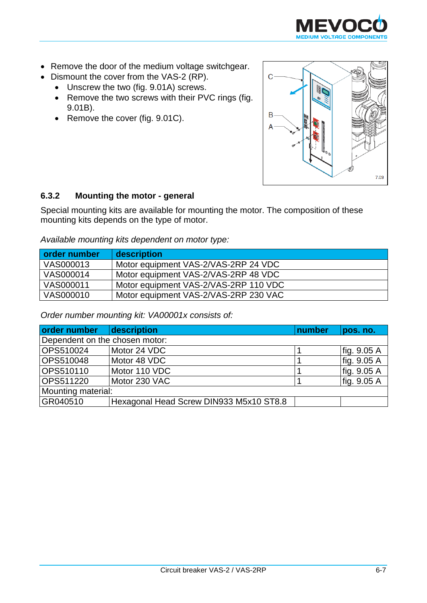

- Remove the door of the medium voltage switchgear.
- Dismount the cover from the VAS-2 (RP).
	- Unscrew the two (fig. 9.01A) screws.
	- Remove the two screws with their PVC rings (fig. 9.01B).
	- Remove the cover (fig. 9.01C).



#### <span id="page-26-0"></span>**6.3.2 Mounting the motor - general**

Special mounting kits are available for mounting the motor. The composition of these mounting kits depends on the type of motor.

*Available mounting kits dependent on motor type:*

| order number     | description                           |
|------------------|---------------------------------------|
| <b>VAS000013</b> | Motor equipment VAS-2/VAS-2RP 24 VDC  |
| VAS000014        | Motor equipment VAS-2/VAS-2RP 48 VDC  |
| VAS000011        | Motor equipment VAS-2/VAS-2RP 110 VDC |
| VAS000010        | Motor equipment VAS-2/VAS-2RP 230 VAC |

*Order number mounting kit: VA00001x consists of:*

| order number                   | description                             | number | pos. no.    |  |
|--------------------------------|-----------------------------------------|--------|-------------|--|
| Dependent on the chosen motor: |                                         |        |             |  |
| <b>OPS510024</b>               | Motor 24 VDC                            |        | fig. 9.05 A |  |
| OPS510048                      | Motor 48 VDC                            |        | fig. 9.05 A |  |
| OPS510110                      | Motor 110 VDC                           |        | fig. 9.05 A |  |
| OPS511220                      | Motor 230 VAC                           |        | fig. 9.05 A |  |
| Mounting material:             |                                         |        |             |  |
| GR040510                       | Hexagonal Head Screw DIN933 M5x10 ST8.8 |        |             |  |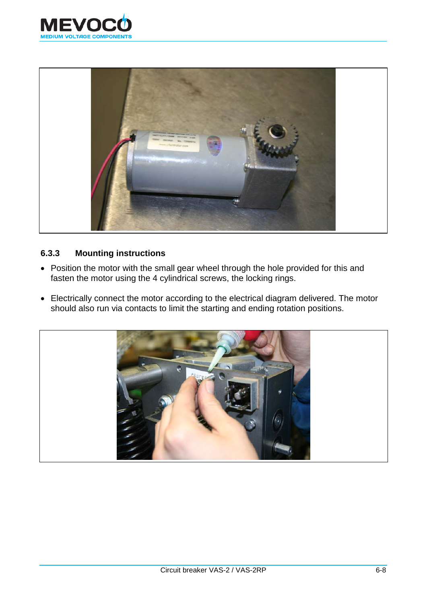



#### <span id="page-27-0"></span>**6.3.3 Mounting instructions**

- Position the motor with the small gear wheel through the hole provided for this and fasten the motor using the 4 cylindrical screws, the locking rings.
- Electrically connect the motor according to the electrical diagram delivered. The motor should also run via contacts to limit the starting and ending rotation positions.

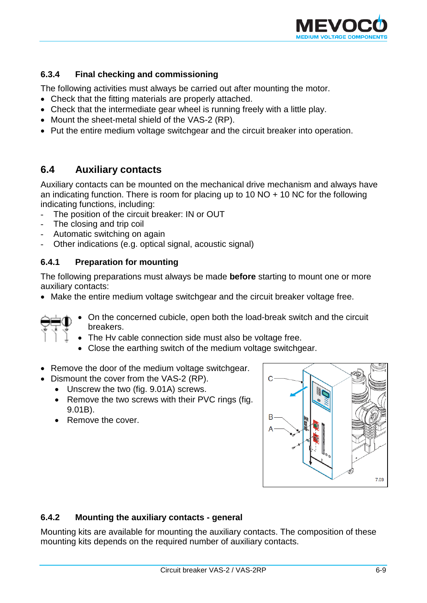

## <span id="page-28-0"></span>**6.3.4 Final checking and commissioning**

The following activities must always be carried out after mounting the motor.

- Check that the fitting materials are properly attached.
- Check that the intermediate gear wheel is running freely with a little play.
- Mount the sheet-metal shield of the VAS-2 (RP).
- Put the entire medium voltage switchgear and the circuit breaker into operation.

## <span id="page-28-1"></span>**6.4 Auxiliary contacts**

Auxiliary contacts can be mounted on the mechanical drive mechanism and always have an indicating function. There is room for placing up to 10  $NO + 10$  NC for the following indicating functions, including:

- The position of the circuit breaker: IN or OUT
- The closing and trip coil
- Automatic switching on again
- Other indications (e.g. optical signal, acoustic signal)

## <span id="page-28-2"></span>**6.4.1 Preparation for mounting**

The following preparations must always be made **before** starting to mount one or more auxiliary contacts:

• Make the entire medium voltage switchgear and the circuit breaker voltage free.

• On the concerned cubicle, open both the load-break switch and the circuit breakers.

- The Hv cable connection side must also be voltage free.
- Close the earthing switch of the medium voltage switchgear.
- Remove the door of the medium voltage switchgear.
- Dismount the cover from the VAS-2 (RP).
	- Unscrew the two (fig. 9.01A) screws.
	- Remove the two screws with their PVC rings (fig. 9.01B).
	- Remove the cover.



## <span id="page-28-3"></span>**6.4.2 Mounting the auxiliary contacts - general**

Mounting kits are available for mounting the auxiliary contacts. The composition of these mounting kits depends on the required number of auxiliary contacts.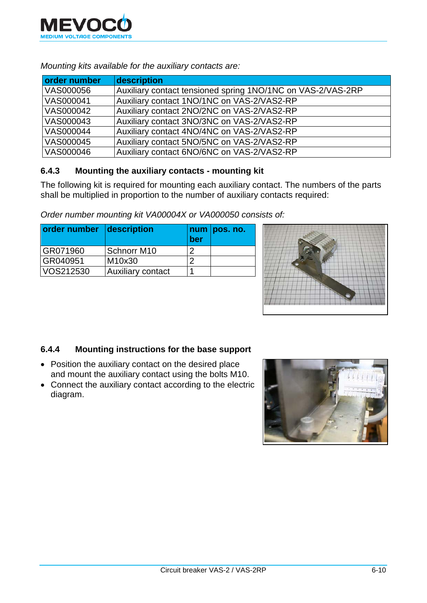

*Mounting kits available for the auxiliary contacts are:*

| order number     | description                                                 |
|------------------|-------------------------------------------------------------|
| VAS000056        | Auxiliary contact tensioned spring 1NO/1NC on VAS-2/VAS-2RP |
| VAS000041        | Auxiliary contact 1NO/1NC on VAS-2/VAS2-RP                  |
| VAS000042        | Auxiliary contact 2NO/2NC on VAS-2/VAS2-RP                  |
| VAS000043        | Auxiliary contact 3NO/3NC on VAS-2/VAS2-RP                  |
| VAS000044        | Auxiliary contact 4NO/4NC on VAS-2/VAS2-RP                  |
| VAS000045        | Auxiliary contact 5NO/5NC on VAS-2/VAS2-RP                  |
| <b>VAS000046</b> | Auxiliary contact 6NO/6NC on VAS-2/VAS2-RP                  |

#### <span id="page-29-0"></span>**6.4.3 Mounting the auxiliary contacts - mounting kit**

The following kit is required for mounting each auxiliary contact. The numbers of the parts shall be multiplied in proportion to the number of auxiliary contacts required:

| order number | description             | ber | num   pos. no. |
|--------------|-------------------------|-----|----------------|
| IGR071960    | Schnorr M <sub>10</sub> |     |                |
| GR040951     | M10x30                  |     |                |
| VOS212530    | Auxiliary contact       |     |                |



## <span id="page-29-1"></span>**6.4.4 Mounting instructions for the base support**

- Position the auxiliary contact on the desired place and mount the auxiliary contact using the bolts M10.
- Connect the auxiliary contact according to the electric diagram.

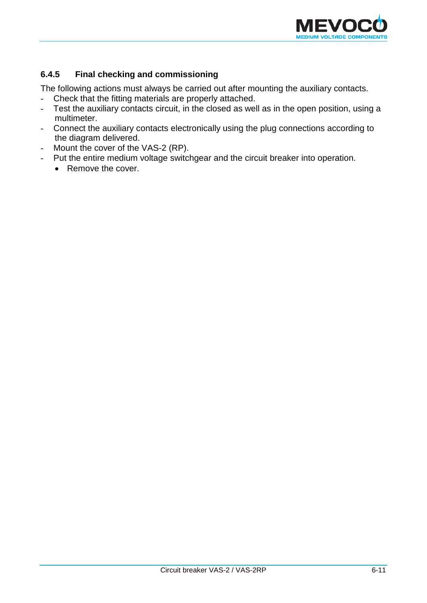

### <span id="page-30-0"></span>**6.4.5 Final checking and commissioning**

The following actions must always be carried out after mounting the auxiliary contacts.

- Check that the fitting materials are properly attached.<br>- Test the auxiliary contacts circuit, in the closed as well
- Test the auxiliary contacts circuit, in the closed as well as in the open position, using a multimeter.
- Connect the auxiliary contacts electronically using the plug connections according to the diagram delivered.
- Mount the cover of the VAS-2 (RP).
- Put the entire medium voltage switchgear and the circuit breaker into operation.
	- Remove the cover.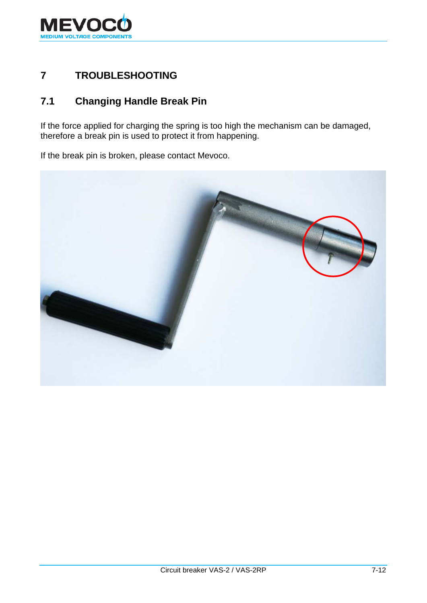

## <span id="page-31-0"></span>**7 TROUBLESHOOTING**

## <span id="page-31-1"></span>**7.1 Changing Handle Break Pin**

If the force applied for charging the spring is too high the mechanism can be damaged, therefore a break pin is used to protect it from happening.

If the break pin is broken, please contact Mevoco.